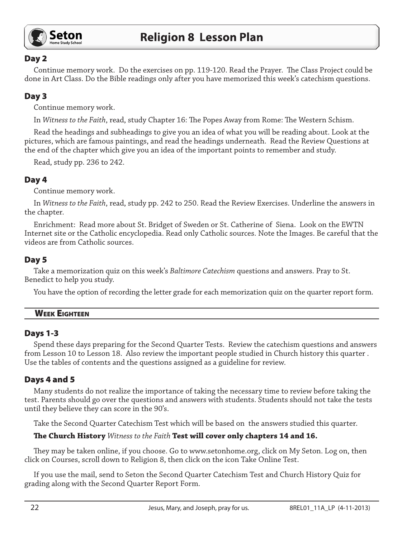

## Day 2

Continue memory work. Do the exercises on pp. 119-120. Read the Prayer. The Class Project could be done in Art Class. Do the Bible readings only after you have memorized this week's catechism questions.

# Day 3

Continue memory work.

In *Witness to the Faith*, read, study Chapter 16: The Popes Away from Rome: The Western Schism.

Read the headings and subheadings to give you an idea of what you will be reading about. Look at the pictures, which are famous paintings, and read the headings underneath. Read the Review Questions at the end of the chapter which give you an idea of the important points to remember and study.

Read, study pp. 236 to 242.

## Day 4

Continue memory work.

In *Witness to the Faith*, read, study pp. 242 to 250. Read the Review Exercises. Underline the answers in the chapter.

Enrichment: Read more about St. Bridget of Sweden or St. Catherine of Siena. Look on the EWTN Internet site or the Catholic encyclopedia. Read only Catholic sources. Note the Images. Be careful that the videos are from Catholic sources.

## Day 5

Take a memorization quiz on this week's *Baltimore Catechism* questions and answers. Pray to St. Benedict to help you study.

You have the option of recording the letter grade for each memorization quiz on the quarter report form.

## Week Eighteen

### Days 1-3

Spend these days preparing for the Second Quarter Tests. Review the catechism questions and answers from Lesson 10 to Lesson 18. Also review the important people studied in Church history this quarter . Use the tables of contents and the questions assigned as a guideline for review.

## Days 4 and 5

Many students do not realize the importance of taking the necessary time to review before taking the test. Parents should go over the questions and answers with students. Students should not take the tests until they believe they can score in the 90's.

Take the Second Quarter Catechism Test which will be based on the answers studied this quarter.

### **The Church History** *Witness to the Faith* **Test will cover only chapters 14 and 16.**

They may be taken online, if you choose. Go to www.setonhome.org, click on My Seton. Log on, then click on Courses, scroll down to Religion 8, then click on the icon Take Online Test.

If you use the mail, send to Seton the Second Quarter Catechism Test and Church History Quiz for grading along with the Second Quarter Report Form.